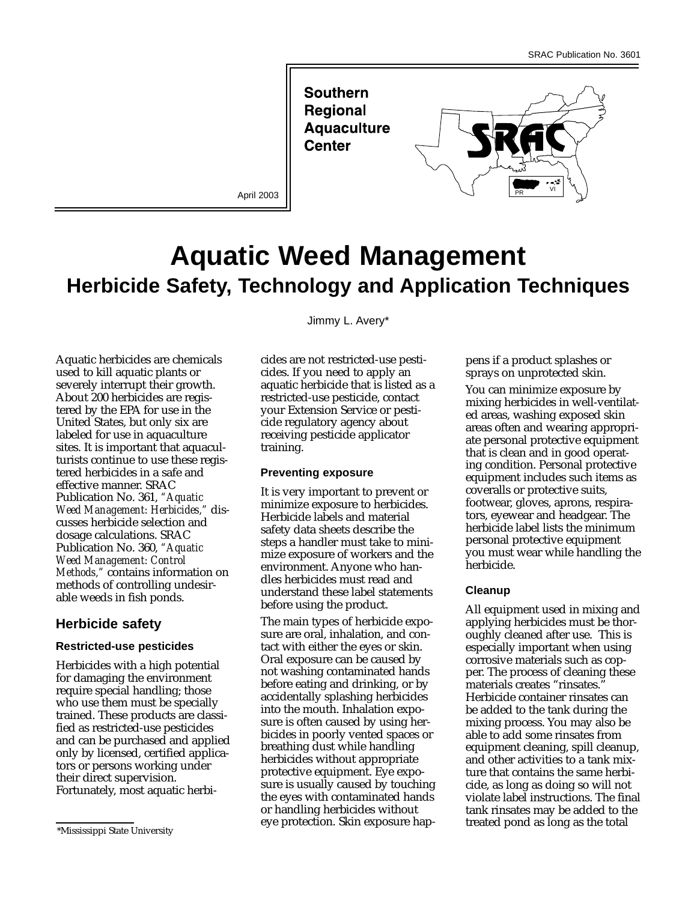**Southern Regional Aquaculture Center** 



# **Aquatic Weed Management Herbicide Safety, Technology and Application Techniques**

Aquatic herbicides are chemicals used to kill aquatic plants or severely interrupt their growth. About 200 herbicides are registered by the EPA for use in the United States, but only six are labeled for use in aquaculture sites. It is important that aquaculturists continue to use these registered herbicides in a safe and effective manner. SRAC Publication No. 361, *"Aquatic Weed Management: Herbicides,"* discusses herbicide selection and dosage calculations. SRAC Publication No. 360, *"Aquatic Weed Management: Control Methods,"* contains information on methods of controlling undesirable weeds in fish ponds.

# **Herbicide safety**

#### **Restricted-use pesticides**

Herbicides with a high potential for damaging the environment require special handling; those who use them must be specially trained. These products are classified as restricted-use pesticides and can be purchased and applied only by licensed, certified applicators or persons working under their direct supervision. Fortunately, most aquatic herbiJimmy L. Avery\*

cides are not restricted-use pesticides. If you need to apply an aquatic herbicide that is listed as a restricted-use pesticide, contact your Extension Service or pesticide regulatory agency about receiving pesticide applicator training.

#### **Preventing exposure**

It is very important to prevent or minimize exposure to herbicides. Herbicide labels and material safety data sheets describe the steps a handler must take to minimize exposure of workers and the environment. Anyone who handles herbicides must read and understand these label statements before using the product.

The main types of herbicide exposure are oral, inhalation, and contact with either the eyes or skin. Oral exposure can be caused by not washing contaminated hands before eating and drinking, or by accidentally splashing herbicides into the mouth. Inhalation exposure is often caused by using herbicides in poorly vented spaces or breathing dust while handling herbicides without appropriate protective equipment. Eye exposure is usually caused by touching the eyes with contaminated hands or handling herbicides without eye protection. Skin exposure happens if a product splashes or sprays on unprotected skin.

You can minimize exposure by mixing herbicides in well-ventilated areas, washing exposed skin areas often and wearing appropriate personal protective equipment that is clean and in good operating condition. Personal protective equipment includes such items as coveralls or protective suits, footwear, gloves, aprons, respirators, eyewear and headgear. The herbicide label lists the minimum personal protective equipment you must wear while handling the herbicide.

## **Cleanup**

All equipment used in mixing and applying herbicides must be thoroughly cleaned after use. This is especially important when using corrosive materials such as copper. The process of cleaning these materials creates "rinsates. Herbicide container rinsates can be added to the tank during the mixing process. You may also be able to add some rinsates from equipment cleaning, spill cleanup, and other activities to a tank mixture that contains the same herbicide, as long as doing so will not violate label instructions. The final tank rinsates may be added to the treated pond as long as the total

<sup>\*</sup>Mississippi State University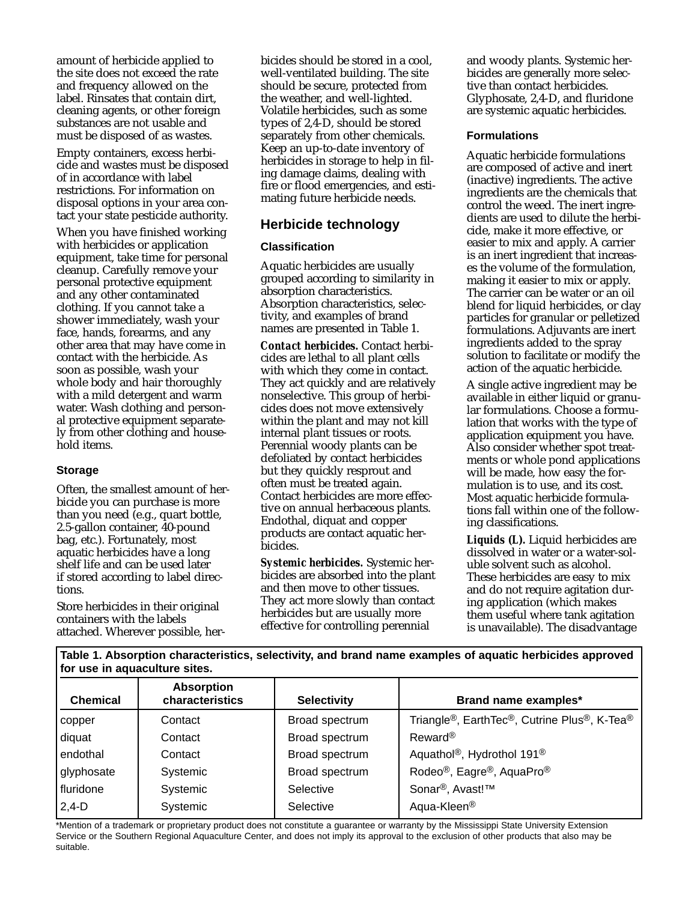amount of herbicide applied to the site does not exceed the rate and frequency allowed on the label. Rinsates that contain dirt, cleaning agents, or other foreign substances are not usable and must be disposed of as wastes.

Empty containers, excess herbicide and wastes must be disposed of in accordance with label restrictions. For information on disposal options in your area contact your state pesticide authority.

When you have finished working with herbicides or application equipment, take time for personal cleanup. Carefully remove your personal protective equipment and any other contaminated clothing. If you cannot take a shower immediately, wash your face, hands, forearms, and any other area that may have come in contact with the herbicide. As soon as possible, wash your whole body and hair thoroughly with a mild detergent and warm water. Wash clothing and personal protective equipment separately from other clothing and household items.

## **Storage**

Often, the smallest amount of herbicide you can purchase is more than you need (e.g., quart bottle, 2.5-gallon container, 40-pound bag, etc.). Fortunately, most aquatic herbicides have a long shelf life and can be used later if stored according to label directions.

Store herbicides in their original containers with the labels attached. Wherever possible, herbicides should be stored in a cool, well-ventilated building. The site should be secure, protected from the weather, and well-lighted. Volatile herbicides, such as some types of 2,4-D, should be stored separately from other chemicals. Keep an up-to-date inventory of herbicides in storage to help in filing damage claims, dealing with fire or flood emergencies, and estimating future herbicide needs.

# **Herbicide technology**

## **Classification**

Aquatic herbicides are usually grouped according to similarity in absorption characteristics. Absorption characteristics, selectivity, and examples of brand names are presented in Table 1.

*Contact herbicides.* Contact herbicides are lethal to all plant cells with which they come in contact. They act quickly and are relatively nonselective. This group of herbicides does not move extensively within the plant and may not kill internal plant tissues or roots. Perennial woody plants can be defoliated by contact herbicides but they quickly resprout and often must be treated again. Contact herbicides are more effective on annual herbaceous plants. Endothal, diquat and copper products are contact aquatic herbicides.

*Systemic herbicides.* Systemic herbicides are absorbed into the plant and then move to other tissues. They act more slowly than contact herbicides but are usually more effective for controlling perennial

and woody plants. Systemic herbicides are generally more selective than contact herbicides. Glyphosate, 2,4-D, and fluridone are systemic aquatic herbicides.

#### **Formulations**

Aquatic herbicide formulations are composed of active and inert (inactive) ingredients. The active ingredients are the chemicals that control the weed. The inert ingredients are used to dilute the herbicide, make it more effective, or easier to mix and apply. A carrier is an inert ingredient that increases the volume of the formulation, making it easier to mix or apply. The carrier can be water or an oil blend for liquid herbicides, or clay particles for granular or pelletized formulations. Adjuvants are inert ingredients added to the spray solution to facilitate or modify the action of the aquatic herbicide.

A single active ingredient may be available in either liquid or granular formulations. Choose a formulation that works with the type of application equipment you have. Also consider whether spot treatments or whole pond applications will be made, how easy the formulation is to use, and its cost. Most aquatic herbicide formulations fall within one of the following classifications.

*Liquids (L).* Liquid herbicides are dissolved in water or a water-soluble solvent such as alcohol. These herbicides are easy to mix and do not require agitation during application (which makes them useful where tank agitation is unavailable). The disadvantage

**Table 1. Absorption characteristics, selectivity, and brand name examples of aquatic herbicides approved for use in aquaculture sites.**

| <b>Chemical</b> | <b>Absorption</b><br>characteristics | <b>Selectivity</b> | Brand name examples*                                                                            |  |
|-----------------|--------------------------------------|--------------------|-------------------------------------------------------------------------------------------------|--|
| copper          | Contact                              | Broad spectrum     | Triangle <sup>®</sup> , Earth Tec <sup>®</sup> , Cutrine Plus <sup>®</sup> , K-Tea <sup>®</sup> |  |
| diquat          | Contact                              | Broad spectrum     | Reward <sup>®</sup>                                                                             |  |
| endothal        | Contact                              | Broad spectrum     | Aquathol <sup>®</sup> , Hydrothol 191 <sup>®</sup>                                              |  |
| glyphosate      | Systemic                             | Broad spectrum     | Rodeo <sup>®</sup> , Eagre <sup>®</sup> , AquaPro <sup>®</sup>                                  |  |
| fluridone       | Systemic                             | Selective          | Sonar <sup>®</sup> , Avast!™                                                                    |  |
| $ 2,4-D$        | Systemic                             | Selective          | Aqua-Kleen <sup>®</sup>                                                                         |  |

\*Mention of a trademark or proprietary product does not constitute a guarantee or warranty by the Mississippi State University Extension Service or the Southern Regional Aquaculture Center, and does not imply its approval to the exclusion of other products that also may be suitable.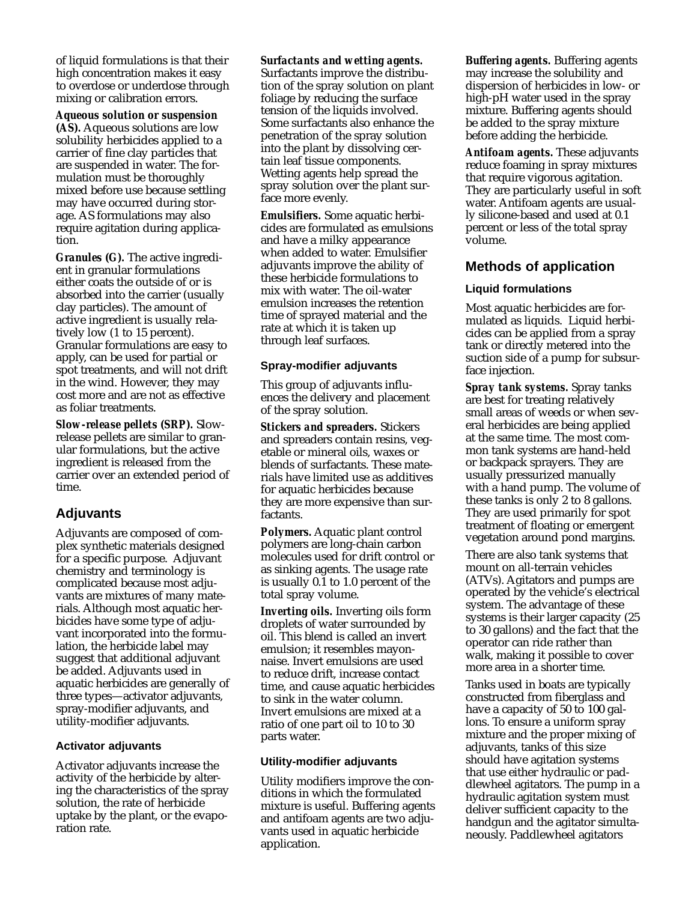of liquid formulations is that their high concentration makes it easy to overdose or underdose through mixing or calibration errors.

*Aqueous solution or suspension (AS).* Aqueous solutions are low solubility herbicides applied to a carrier of fine clay particles that are suspended in water. The formulation must be thoroughly mixed before use because settling may have occurred during storage. AS formulations may also require agitation during application.

*Granules (G).* The active ingredient in granular formulations either coats the outside of or is absorbed into the carrier (usually clay particles). The amount of active ingredient is usually relatively low (1 to 15 percent). Granular formulations are easy to apply, can be used for partial or spot treatments, and will not drift in the wind. However, they may cost more and are not as effective as foliar treatments.

*Slow-release pellets (SRP).* Slowrelease pellets are similar to granular formulations, but the active ingredient is released from the carrier over an extended period of time.

# **Adjuvants**

Adjuvants are composed of complex synthetic materials designed for a specific purpose. Adjuvant chemistry and terminology is complicated because most adjuvants are mixtures of many materials. Although most aquatic herbicides have some type of adjuvant incorporated into the formulation, the herbicide label may suggest that additional adjuvant be added. Adjuvants used in aquatic herbicides are generally of three types—activator adjuvants, spray-modifier adjuvants, and utility-modifier adjuvants.

## **Activator adjuvants**

Activator adjuvants increase the activity of the herbicide by altering the characteristics of the spray solution, the rate of herbicide uptake by the plant, or the evaporation rate.

#### *Surfactants and wetting agents.*

Surfactants improve the distribution of the spray solution on plant foliage by reducing the surface tension of the liquids involved. Some surfactants also enhance the penetration of the spray solution into the plant by dissolving certain leaf tissue components. Wetting agents help spread the spray solution over the plant surface more evenly.

*Emulsifiers.* Some aquatic herbicides are formulated as emulsions and have a milky appearance when added to water. Emulsifier adjuvants improve the ability of these herbicide formulations to mix with water. The oil-water emulsion increases the retention time of sprayed material and the rate at which it is taken up through leaf surfaces.

#### **Spray-modifier adjuvants**

This group of adjuvants influences the delivery and placement of the spray solution.

*Stickers and spreaders.* Stickers and spreaders contain resins, vegetable or mineral oils, waxes or blends of surfactants. These materials have limited use as additives for aquatic herbicides because they are more expensive than surfactants.

*Polymers.* Aquatic plant control polymers are long-chain carbon molecules used for drift control or as sinking agents. The usage rate is usually 0.1 to 1.0 percent of the total spray volume.

*Inverting oils.* Inverting oils form droplets of water surrounded by oil. This blend is called an invert emulsion; it resembles mayonnaise. Invert emulsions are used to reduce drift, increase contact time, and cause aquatic herbicides to sink in the water column. Invert emulsions are mixed at a ratio of one part oil to 10 to 30 parts water.

#### **Utility-modifier adjuvants**

Utility modifiers improve the conditions in which the formulated mixture is useful. Buffering agents and antifoam agents are two adjuvants used in aquatic herbicide application.

*Buffering agents.* Buffering agents may increase the solubility and dispersion of herbicides in low- or high-pH water used in the spray mixture. Buffering agents should be added to the spray mixture before adding the herbicide.

*Antifoam agents.* These adjuvants reduce foaming in spray mixtures that require vigorous agitation. They are particularly useful in soft water. Antifoam agents are usually silicone-based and used at 0.1 percent or less of the total spray volume.

# **Methods of application**

#### **Liquid formulations**

Most aquatic herbicides are formulated as liquids. Liquid herbicides can be applied from a spray tank or directly metered into the suction side of a pump for subsurface injection.

*Spray tank systems.* Spray tanks are best for treating relatively small areas of weeds or when several herbicides are being applied at the same time. The most common tank systems are hand-held or backpack sprayers. They are usually pressurized manually with a hand pump. The volume of these tanks is only 2 to 8 gallons. They are used primarily for spot treatment of floating or emergent vegetation around pond margins.

There are also tank systems that mount on all-terrain vehicles (ATVs). Agitators and pumps are operated by the vehicle's electrical system. The advantage of these systems is their larger capacity (25 to 30 gallons) and the fact that the operator can ride rather than walk, making it possible to cover more area in a shorter time.

Tanks used in boats are typically constructed from fiberglass and have a capacity of 50 to 100 gallons. To ensure a uniform spray mixture and the proper mixing of adjuvants, tanks of this size should have agitation systems that use either hydraulic or paddlewheel agitators. The pump in a hydraulic agitation system must deliver sufficient capacity to the handgun and the agitator simultaneously. Paddlewheel agitators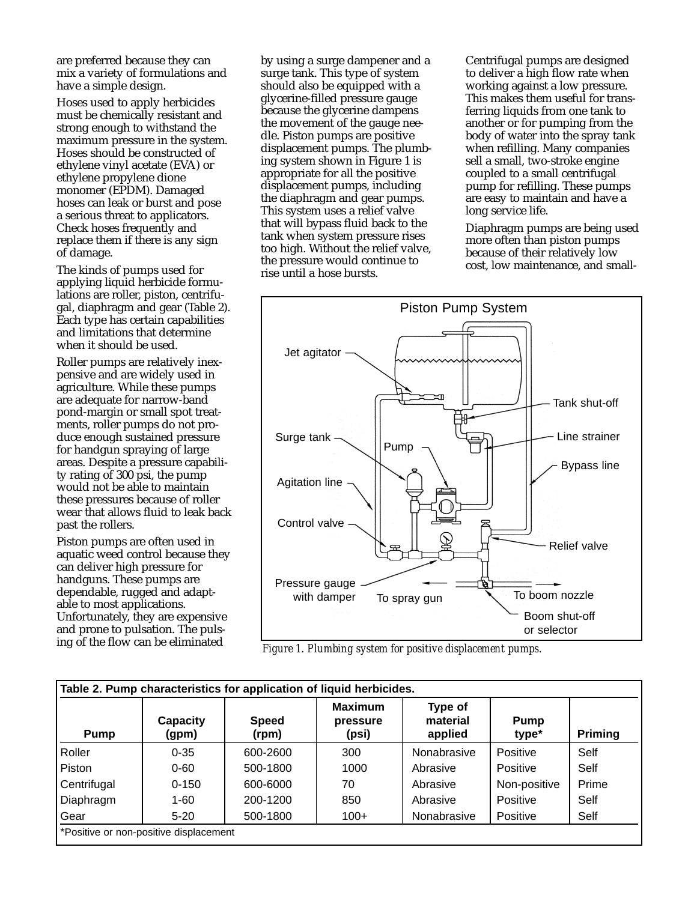are preferred because they can mix a variety of formulations and have a simple design.

Hoses used to apply herbicides must be chemically resistant and strong enough to withstand the maximum pressure in the system. Hoses should be constructed of ethylene vinyl acetate (EVA) or ethylene propylene dione monomer (EPDM). Damaged hoses can leak or burst and pose a serious threat to applicators. Check hoses frequently and replace them if there is any sign of damage.

The kinds of pumps used for applying liquid herbicide formulations are roller, piston, centrifugal, diaphragm and gear (Table 2). Each type has certain capabilities and limitations that determine when it should be used.

Roller pumps are relatively inexpensive and are widely used in agriculture. While these pumps are adequate for narrow-band pond-margin or small spot treatments, roller pumps do not produce enough sustained pressure for handgun spraying of large areas. Despite a pressure capability rating of 300 psi, the pump would not be able to maintain these pressures because of roller wear that allows fluid to leak back past the rollers.

Piston pumps are often used in aquatic weed control because they can deliver high pressure for handguns. These pumps are dependable, rugged and adaptable to most applications. Unfortunately, they are expensive and prone to pulsation. The pulsing of the flow can be eliminated

by using a surge dampener and a surge tank. This type of system should also be equipped with a glycerine-filled pressure gauge because the glycerine dampens the movement of the gauge needle. Piston pumps are positive displacement pumps. The plumbing system shown in Figure 1 is appropriate for all the positive displacement pumps, including the diaphragm and gear pumps. This system uses a relief valve that will bypass fluid back to the tank when system pressure rises too high. Without the relief valve, the pressure would continue to rise until a hose bursts.

Centrifugal pumps are designed to deliver a high flow rate when working against a low pressure. This makes them useful for transferring liquids from one tank to another or for pumping from the body of water into the spray tank when refilling. Many companies sell a small, two-stroke engine coupled to a small centrifugal pump for refilling. These pumps are easy to maintain and have a long service life.

Diaphragm pumps are being used more often than piston pumps because of their relatively low cost, low maintenance, and small-



*Figure 1. Plumbing system for positive displacement pumps.*

| <b>Pump</b> | Capacity<br>(gpm) | <b>Speed</b><br>(rpm) | <b>Maximum</b><br>pressure<br>(psi) | Type of<br>material<br>applied | Pump<br>type*   | Priming |
|-------------|-------------------|-----------------------|-------------------------------------|--------------------------------|-----------------|---------|
| Roller      | $0 - 35$          | 600-2600              | 300                                 | Nonabrasive                    | <b>Positive</b> | Self    |
| Piston      | $0 - 60$          | 500-1800              | 1000                                | Abrasive                       | <b>Positive</b> | Self    |
| Centrifugal | $0 - 150$         | 600-6000              | 70                                  | Abrasive                       | Non-positive    | Prime   |
| Diaphragm   | $1 - 60$          | 200-1200              | 850                                 | Abrasive                       | Positive        | Self    |
| Gear        | $5 - 20$          | 500-1800              | $100+$                              | Nonabrasive                    | Positive        | Self    |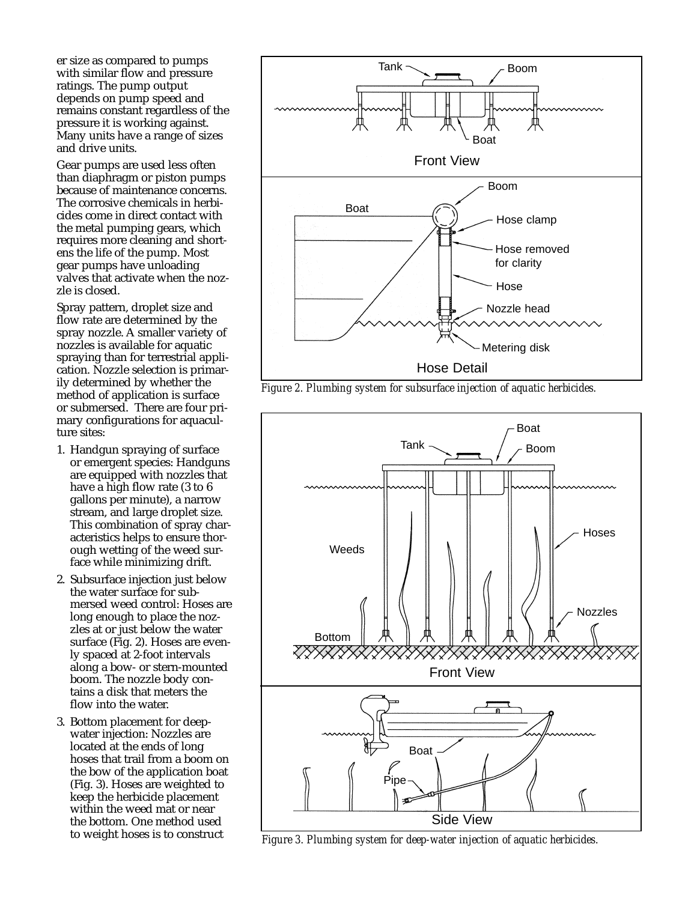er size as compared to pumps with similar flow and pressure ratings. The pump output depends on pump speed and remains constant regardless of the pressure it is working against. Many units have a range of sizes and drive units.

Gear pumps are used less often than diaphragm or piston pumps because of maintenance concerns. The corrosive chemicals in herbicides come in direct contact with the metal pumping gears, which requires more cleaning and shortens the life of the pump. Most gear pumps have unloading valves that activate when the nozzle is closed.

Spray pattern, droplet size and flow rate are determined by the spray nozzle. A smaller variety of nozzles is available for aquatic spraying than for terrestrial application. Nozzle selection is primarily determined by whether the method of application is surface or submersed. There are four primary configurations for aquaculture sites:

- 1. Handgun spraying of surface or emergent species: Handguns are equipped with nozzles that have a high flow rate (3 to 6 gallons per minute), a narrow stream, and large droplet size. This combination of spray characteristics helps to ensure thorough wetting of the weed surface while minimizing drift.
- 2. Subsurface injection just below the water surface for submersed weed control: Hoses are long enough to place the nozzles at or just below the water surface (Fig. 2). Hoses are evenly spaced at 2-foot intervals along a bow- or stern-mounted boom. The nozzle body contains a disk that meters the flow into the water.
- 3. Bottom placement for deepwater injection: Nozzles are located at the ends of long hoses that trail from a boom on the bow of the application boat (Fig. 3). Hoses are weighted to keep the herbicide placement within the weed mat or near the bottom. One method used to weight hoses is to construct



*Figure 2. Plumbing system for subsurface injection of aquatic herbicides.*



*Figure 3. Plumbing system for deep-water injection of aquatic herbicides.*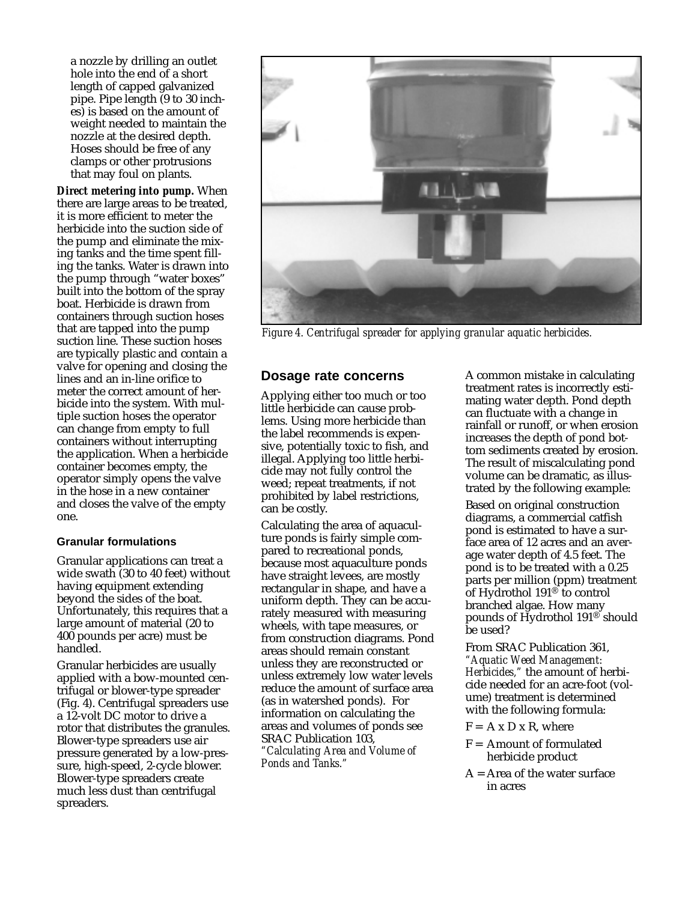a nozzle by drilling an outlet hole into the end of a short length of capped galvanized pipe. Pipe length (9 to 30 inches) is based on the amount of weight needed to maintain the nozzle at the desired depth. Hoses should be free of any clamps or other protrusions that may foul on plants.

*Direct metering into pump.* When there are large areas to be treated, it is more efficient to meter the herbicide into the suction side of the pump and eliminate the mixing tanks and the time spent filling the tanks. Water is drawn into the pump through "water boxes" built into the bottom of the spray boat. Herbicide is drawn from containers through suction hoses that are tapped into the pump suction line. These suction hoses are typically plastic and contain a valve for opening and closing the lines and an in-line orifice to meter the correct amount of herbicide into the system. With multiple suction hoses the operator can change from empty to full containers without interrupting the application. When a herbicide container becomes empty, the operator simply opens the valve in the hose in a new container and closes the valve of the empty one.

## **Granular formulations**

Granular applications can treat a wide swath (30 to 40 feet) without having equipment extending beyond the sides of the boat. Unfortunately, this requires that a large amount of material (20 to 400 pounds per acre) must be handled.

Granular herbicides are usually applied with a bow-mounted centrifugal or blower-type spreader (Fig. 4). Centrifugal spreaders use a 12-volt DC motor to drive a rotor that distributes the granules. Blower-type spreaders use air pressure generated by a low-pressure, high-speed, 2-cycle blower. Blower-type spreaders create much less dust than centrifugal spreaders.



*Figure 4. Centrifugal spreader for applying granular aquatic herbicides.*

# **Dosage rate concerns**

Applying either too much or too little herbicide can cause problems. Using more herbicide than the label recommends is expensive, potentially toxic to fish, and illegal. Applying too little herbicide may not fully control the weed; repeat treatments, if not prohibited by label restrictions, can be costly.

Calculating the area of aquaculture ponds is fairly simple compared to recreational ponds, because most aquaculture ponds have straight levees, are mostly rectangular in shape, and have a uniform depth. They can be accurately measured with measuring wheels, with tape measures, or from construction diagrams. Pond areas should remain constant unless they are reconstructed or unless extremely low water levels reduce the amount of surface area (as in watershed ponds). For information on calculating the areas and volumes of ponds see SRAC Publication 103, *"Calculating Area and Volume of Ponds and Tanks."*

A common mistake in calculating treatment rates is incorrectly estimating water depth. Pond depth can fluctuate with a change in rainfall or runoff, or when erosion increases the depth of pond bottom sediments created by erosion. The result of miscalculating pond volume can be dramatic, as illustrated by the following example:

Based on original construction diagrams, a commercial catfish pond is estimated to have a surface area of 12 acres and an average water depth of 4.5 feet. The pond is to be treated with a 0.25 parts per million (ppm) treatment of Hydrothol 191® to control branched algae. How many pounds of Hydrothol 191® should be used?

From SRAC Publication 361, *"Aquatic Weed Management: Herbicides,"* the amount of herbicide needed for an acre-foot (volume) treatment is determined with the following formula:

- $F = A x D x R$ , where
- $F =$  Amount of formulated herbicide product
- $A = Area of the water surface$ in acres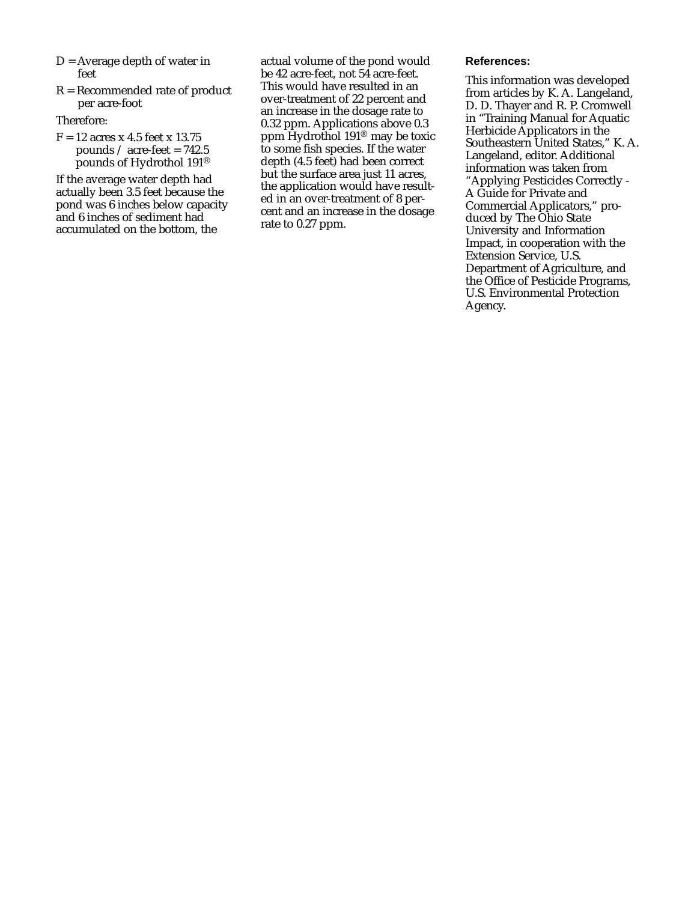- $D =$  Average depth of water in feet
- R = Recommended rate of product per acre-foot

## Therefore:

 $F = 12$  acres x 4.5 feet x 13.75 pounds  $\angle$  acre-feet = 742.5 pounds of Hydrothol 191®

If the average water depth had actually been 3.5 feet because the pond was 6 inches below capacity and 6 inches of sediment had accumulated on the bottom, the

actual volume of the pond would be 42 acre-feet, not 54 acre-feet. This would have resulted in an over-treatment of 22 percent and an increase in the dosage rate to 0.32 ppm. Applications above 0.3 ppm Hydrothol 191® may be toxic to some fish species. If the water depth (4.5 feet) had been correct but the surface area just 11 acres, the application would have resulted in an over-treatment of 8 percent and an increase in the dosage rate to 0.27 ppm.

#### **References:**

This information was developed from articles by K. A. Langeland, D. D. Thayer and R. P. Cromwell in "Training Manual for Aquatic Herbicide Applicators in the Southeastern United States," K. A. Langeland, editor. Additional information was taken from "Applying Pesticides Correctly - A Guide for Private and Commercial Applicators," produced by The Ohio State University and Information Impact, in cooperation with the Extension Service, U.S. Department of Agriculture, and the Office of Pesticide Programs, U.S. Environmental Protection Agency.